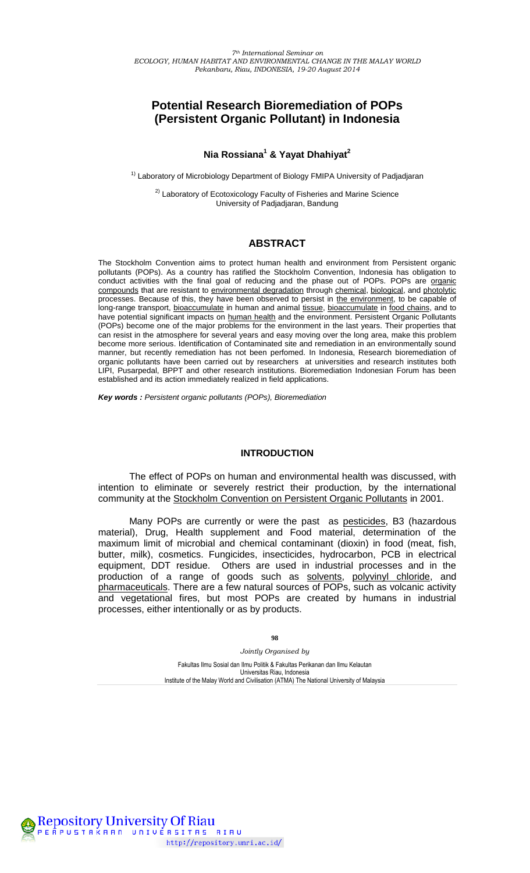# **Potential Research Bioremediation of POPs (Persistent Organic Pollutant) in Indonesia**

## **Nia Rossiana<sup>1</sup> & Yayat Dhahiyat<sup>2</sup>**

<sup>1)</sup> Laboratory of Microbiology Department of Biology FMIPA University of Padjadjaran

<sup>2)</sup> Laboratory of Ecotoxicology Faculty of Fisheries and Marine Science University of Padjadjaran, Bandung

## **ABSTRACT**

The Stockholm Convention aims to protect human health and environment from Persistent organic pollutants (POPs). As a country has ratified the Stockholm Convention, Indonesia has obligation to conduct activities with the final goal of reducing and the phase out of POPs. POPs are organic [compounds](http://en.wikipedia.org/wiki/Organic_compounds) that are resistant to [environmental degradation](http://en.wikipedia.org/wiki/Environmental_degradation) through [chemical,](http://en.wikipedia.org/wiki/Chemical_decomposition) [biological,](http://en.wikipedia.org/wiki/Biodegradation) and [photolytic](http://en.wikipedia.org/wiki/Photolysis)  processes. Because of this, they have been observed to persist in [the environment,](http://en.wikipedia.org/wiki/Environment_%28biophysical%29) to be capable of long-range transport, [bioaccumulate](http://en.wikipedia.org/wiki/Bioaccumulate) in human and animal [tissue,](http://en.wikipedia.org/wiki/Biological_tissue) bioaccumulate in [food chains,](http://en.wikipedia.org/wiki/Food_chain) and to have potential significant impacts on [human health](http://en.wikipedia.org/wiki/Human_health) and the environment. Persistent Organic Pollutants (POPs) become one of the major problems for the environment in the last years. Their properties that can resist in the atmosphere for several years and easy moving over the long area, make this problem become more serious. Identification of Contaminated site and remediation in an environmentally sound manner, but recently remediation has not been perfomed. In Indonesia, Research bioremediation of organic pollutants have been carried out by researchers at universities and research institutes both LIPI, Pusarpedal, BPPT and other research institutions. Bioremediation Indonesian Forum has been established and its action immediately realized in field applications.

*Key words : Persistent organic pollutants (POPs), Bioremediation* 

#### **INTRODUCTION**

The effect of POPs on human and environmental health was discussed, with intention to eliminate or severely restrict their production, by the international community at the [Stockholm Convention on Persistent Organic Pollutants](http://en.wikipedia.org/wiki/Stockholm_Convention_on_Persistent_Organic_Pollutants) in 2001.

Many POPs are currently or were the past as [pesticides,](http://en.wikipedia.org/wiki/Pesticide) B3 (hazardous material), Drug, Health supplement and Food material, determination of the maximum limit of microbial and chemical contaminant (dioxin) in food (meat, fish, butter, milk), cosmetics. Fungicides, insecticides, hydrocarbon, PCB in electrical equipment, DDT residue. Others are used in industrial processes and in the production of a range of goods such as [solvents,](http://en.wikipedia.org/wiki/Solvent) [polyvinyl chloride,](http://en.wikipedia.org/wiki/Polyvinyl_chloride) and [pharmaceuticals.](http://en.wikipedia.org/wiki/Pharmaceutical) There are a few natural sources of POPs, such as volcanic activity and vegetational fires, but most POPs are created by humans in industrial processes, either intentionally or as by products.

**98** 

*Jointly Organised by*  Fakultas Ilmu Sosial dan Ilmu Politik & Fakultas Perikanan dan Ilmu Kelautan Universitas Riau, Indonesia Institute of the Malay World and Civilisation (ATMA) The National University of Malaysia

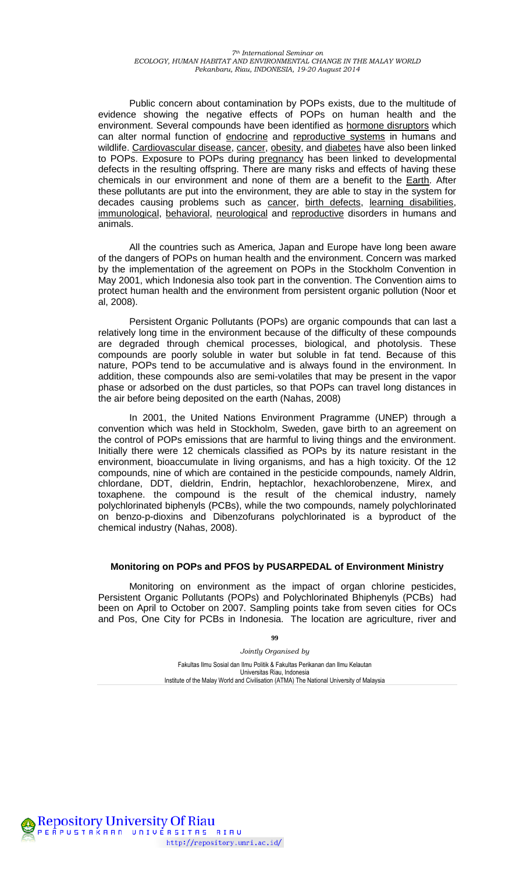Public concern about contamination by POPs exists, due to the multitude of evidence showing the negative effects of POPs on human health and the environment. Several compounds have been identified as [hormone disruptors](http://en.wikipedia.org/wiki/Endocrine_disruptors) which can alter normal function of [endocrine](http://en.wikipedia.org/wiki/Endocrine_system) and [reproductive systems](http://en.wikipedia.org/wiki/Reproductive_system) in humans and wildlife. [Cardiovascular disease,](http://en.wikipedia.org/wiki/Cardiovascular_disease) [cancer,](http://en.wikipedia.org/wiki/Cancer) [obesity,](http://en.wikipedia.org/wiki/Obesity) and [diabetes](http://en.wikipedia.org/wiki/Diabetes) have also been linked to POPs. Exposure to POPs during [pregnancy](http://en.wikipedia.org/wiki/Pregnancy) has been linked to developmental defects in the resulting offspring. There are many risks and effects of having these chemicals in our environment and none of them are a benefit to the [Earth.](http://en.wikipedia.org/wiki/Earth) After these pollutants are put into the environment, they are able to stay in the system for decades causing problems such as [cancer,](http://en.wikipedia.org/wiki/Cancer) [birth defects,](http://en.wikipedia.org/wiki/Congenital_disorder) [learning disabilities,](http://en.wikipedia.org/wiki/Learning_disabilities) [immunological,](http://en.wikipedia.org/wiki/Immune_disorder) [behavioral,](http://en.wikipedia.org/wiki/Emotional_and_behavioral_disorders) [neurological](http://en.wikipedia.org/wiki/Neurological_disorder) and [reproductive](http://en.wikipedia.org/wiki/Reproductive_system_disease) disorders in humans and animals.

All the countries such as America, Japan and Europe have long been aware of the dangers of POPs on human health and the environment. Concern was marked by the implementation of the agreement on POPs in the Stockholm Convention in May 2001, which Indonesia also took part in the convention. The Convention aims to protect human health and the environment from persistent organic pollution (Noor et al, 2008).

Persistent Organic Pollutants (POPs) are organic compounds that can last a relatively long time in the environment because of the difficulty of these compounds are degraded through chemical processes, biological, and photolysis. These compounds are poorly soluble in water but soluble in fat tend. Because of this nature, POPs tend to be accumulative and is always found in the environment. In addition, these compounds also are semi-volatiles that may be present in the vapor phase or adsorbed on the dust particles, so that POPs can travel long distances in the air before being deposited on the earth (Nahas, 2008)

In 2001, the United Nations Environment Pragramme (UNEP) through a convention which was held in Stockholm, Sweden, gave birth to an agreement on the control of POPs emissions that are harmful to living things and the environment. Initially there were 12 chemicals classified as POPs by its nature resistant in the environment, bioaccumulate in living organisms, and has a high toxicity. Of the 12 compounds, nine of which are contained in the pesticide compounds, namely Aldrin, chlordane, DDT, dieldrin, Endrin, heptachlor, hexachlorobenzene, Mirex, and toxaphene. the compound is the result of the chemical industry, namely polychlorinated biphenyls (PCBs), while the two compounds, namely polychlorinated on benzo-p-dioxins and Dibenzofurans polychlorinated is a byproduct of the chemical industry (Nahas, 2008).

#### **Monitoring on POPs and PFOS by PUSARPEDAL of Environment Ministry**

Monitoring on environment as the impact of organ chlorine pesticides, Persistent Organic Pollutants (POPs) and Polychlorinated Bhiphenyls (PCBs) had been on April to October on 2007. Sampling points take from seven cities for OCs and Pos, One City for PCBs in Indonesia. The location are agriculture, river and

> *Jointly Organised by*  Fakultas Ilmu Sosial dan Ilmu Politik & Fakultas Perikanan dan Ilmu Kelautan Universitas Riau, Indonesia Institute of the Malay World and Civilisation (ATMA) The National University of Malaysia

**99** 

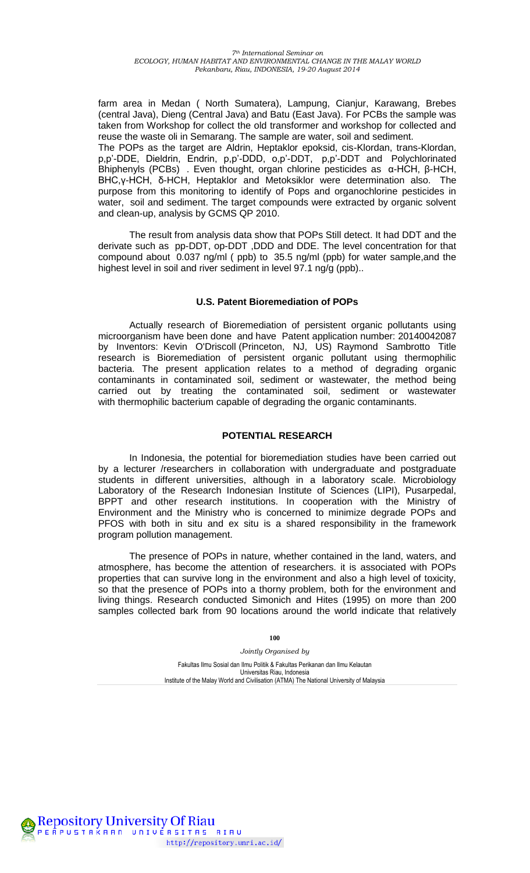farm area in Medan ( North Sumatera), Lampung, Cianjur, Karawang, Brebes (central Java), Dieng (Central Java) and Batu (East Java). For PCBs the sample was taken from Workshop for collect the old transformer and workshop for collected and reuse the waste oli in Semarang. The sample are water, soil and sediment. The POPs as the target are Aldrin, Heptaklor epoksid, cis-Klordan, trans-Klordan, p,p'-DDE, Dieldrin, Endrin, p,p'-DDD, o,p'-DDT, p,p'-DDT and Polychlorinated Bhiphenyls (PCBs) . Even thought, organ chlorine pesticides as α-HCH, β-HCH, BHC,γ-HCH, δ-HCH, Heptaklor and Metoksiklor were determination also. The purpose from this monitoring to identify of Pops and organochlorine pesticides in water, soil and sediment. The target compounds were extracted by organic solvent and clean-up, analysis by GCMS QP 2010.

The result from analysis data show that POPs Still detect. It had DDT and the derivate such as pp-DDT, op-DDT ,DDD and DDE. The level concentration for that compound about 0.037 ng/ml ( ppb) to 35.5 ng/ml (ppb) for water sample,and the highest level in soil and river sediment in level 97.1 ng/g (ppb)...

### **U.S. Patent Bioremediation of POPs**

Actually research of Bioremediation of persistent organic pollutants using microorganism have been done and have Patent application number: 20140042087 by Inventors: [Kevin O'Driscoll](http://www.faqs.org/patents/inventor/odriscoll-6/) (Princeton, NJ, US) Raymond Sambrotto Title research is Bioremediation of persistent organic pollutant using thermophilic bacteria. The present application relates to a method of degrading organic contaminants in contaminated soil, sediment or wastewater, the method being carried out by treating the contaminated soil, sediment or wastewater with [thermophilic bacterium](http://www.faqs.org/knowledge/Thermophile.html) capable of degrading the organic contaminants.

### **POTENTIAL RESEARCH**

In Indonesia, the potential for bioremediation studies have been carried out by a lecturer /researchers in collaboration with undergraduate and postgraduate students in different universities, although in a laboratory scale. Microbiology Laboratory of the Research Indonesian Institute of Sciences (LIPI), Pusarpedal, BPPT and other research institutions. In cooperation with the Ministry of Environment and the Ministry who is concerned to minimize degrade POPs and PFOS with both in situ and ex situ is a shared responsibility in the framework program pollution management.

The presence of POPs in nature, whether contained in the land, waters, and atmosphere, has become the attention of researchers. it is associated with POPs properties that can survive long in the environment and also a high level of toxicity, so that the presence of POPs into a thorny problem, both for the environment and living things. Research conducted Simonich and Hites (1995) on more than 200 samples collected bark from 90 locations around the world indicate that relatively

**100** 

*Jointly Organised by*  Fakultas Ilmu Sosial dan Ilmu Politik & Fakultas Perikanan dan Ilmu Kelautan Universitas Riau, Indonesia Institute of the Malay World and Civilisation (ATMA) The National University of Malaysia

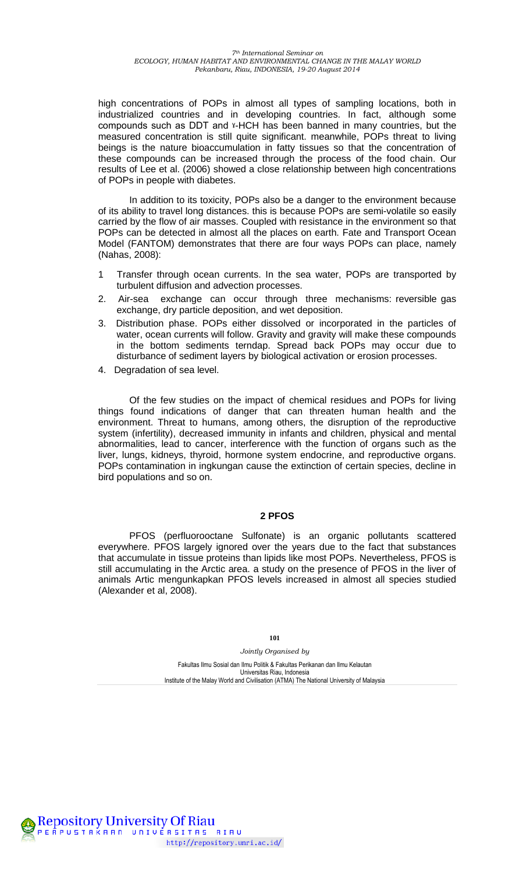high concentrations of POPs in almost all types of sampling locations, both in industrialized countries and in developing countries. In fact, although some compounds such as DDT and ˠ-HCH has been banned in many countries, but the measured concentration is still quite significant. meanwhile, POPs threat to living beings is the nature bioaccumulation in fatty tissues so that the concentration of these compounds can be increased through the process of the food chain. Our results of Lee et al. (2006) showed a close relationship between high concentrations of POPs in people with diabetes.

In addition to its toxicity, POPs also be a danger to the environment because of its ability to travel long distances. this is because POPs are semi-volatile so easily carried by the flow of air masses. Coupled with resistance in the environment so that POPs can be detected in almost all the places on earth. Fate and Transport Ocean Model (FANTOM) demonstrates that there are four ways POPs can place, namely (Nahas, 2008):

- 1 Transfer through ocean currents. In the sea water, POPs are transported by turbulent diffusion and advection processes.
- 2. Air-sea exchange can occur through three mechanisms: reversible gas exchange, dry particle deposition, and wet deposition.
- 3. Distribution phase. POPs either dissolved or incorporated in the particles of water, ocean currents will follow. Gravity and gravity will make these compounds in the bottom sediments terndap. Spread back POPs may occur due to disturbance of sediment layers by biological activation or erosion processes.
- 4. Degradation of sea level.

**Repository University Of Riau** 

PEÂPUSTAKAAN UNIVERSITAS RIAU

http://repository.unri.ac.id/

Of the few studies on the impact of chemical residues and POPs for living things found indications of danger that can threaten human health and the environment. Threat to humans, among others, the disruption of the reproductive system (infertility), decreased immunity in infants and children, physical and mental abnormalities, lead to cancer, interference with the function of organs such as the liver, lungs, kidneys, thyroid, hormone system endocrine, and reproductive organs. POPs contamination in ingkungan cause the extinction of certain species, decline in bird populations and so on.

### **2 PFOS**

PFOS (perfluorooctane Sulfonate) is an organic pollutants scattered everywhere. PFOS largely ignored over the years due to the fact that substances that accumulate in tissue proteins than lipids like most POPs. Nevertheless, PFOS is still accumulating in the Arctic area. a study on the presence of PFOS in the liver of animals Artic mengunkapkan PFOS levels increased in almost all species studied (Alexander et al, 2008).

**101** 

*Jointly Organised by*  Fakultas Ilmu Sosial dan Ilmu Politik & Fakultas Perikanan dan Ilmu Kelautan Universitas Riau, Indonesia

Institute of the Malay World and Civilisation (ATMA) The National University of Malaysia